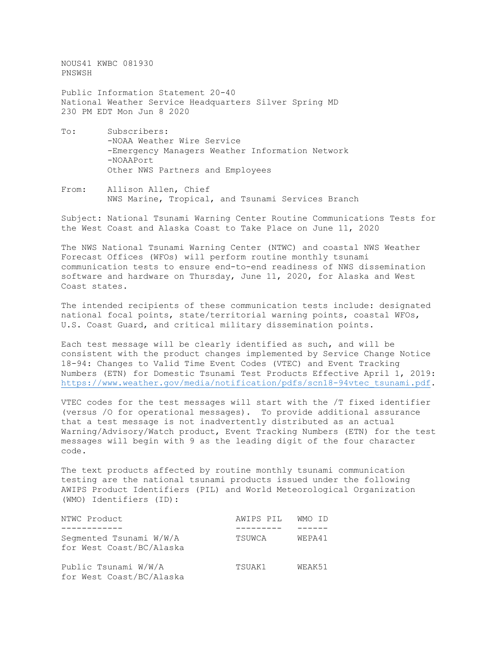NOUS41 KWBC 081930 PNSWSH

Public Information Statement 20-40 National Weather Service Headquarters Silver Spring MD 230 PM EDT Mon Jun 8 2020

- To: Subscribers: -NOAA Weather Wire Service -Emergency Managers Weather Information Network -NOAAPort Other NWS Partners and Employees
- From: Allison Allen, Chief NWS Marine, Tropical, and Tsunami Services Branch

Subject: National Tsunami Warning Center Routine Communications Tests for the West Coast and Alaska Coast to Take Place on June 11, 2020

The NWS National Tsunami Warning Center (NTWC) and coastal NWS Weather Forecast Offices (WFOs) will perform routine monthly tsunami communication tests to ensure end-to-end readiness of NWS dissemination software and hardware on Thursday, June 11, 2020, for Alaska and West Coast states.

The intended recipients of these communication tests include: designated national focal points, state/territorial warning points, coastal WFOs, U.S. Coast Guard, and critical military dissemination points.

Each test message will be clearly identified as such, and will be consistent with the product changes implemented by Service Change Notice 18-94: Changes to Valid Time Event Codes (VTEC) and Event Tracking Numbers (ETN) for Domestic Tsunami Test Products Effective April 1, 2019: [https://www.weather.gov/media/notification/pdfs/scn18-94vtec\\_tsunami.pdf.](https://www.weather.gov/media/notification/pdfs/scn18-94vtec_tsunami.pdf)

VTEC codes for the test messages will start with the /T fixed identifier (versus /O for operational messages). To provide additional assurance that a test message is not inadvertently distributed as an actual Warning/Advisory/Watch product, Event Tracking Numbers (ETN) for the test messages will begin with 9 as the leading digit of the four character code.

The text products affected by routine monthly tsunami communication testing are the national tsunami products issued under the following AWIPS Product Identifiers (PIL) and World Meteorological Organization (WMO) Identifiers (ID):

| NTWC Product                                        | AWIPS PIL | WMO ID |
|-----------------------------------------------------|-----------|--------|
| Segmented Tsunami W/W/A<br>for West Coast/BC/Alaska | TSUWCA    | WEPA41 |
| Public Tsunami W/W/A<br>for West Coast/BC/Alaska    | TSUAK1    | WEAK51 |